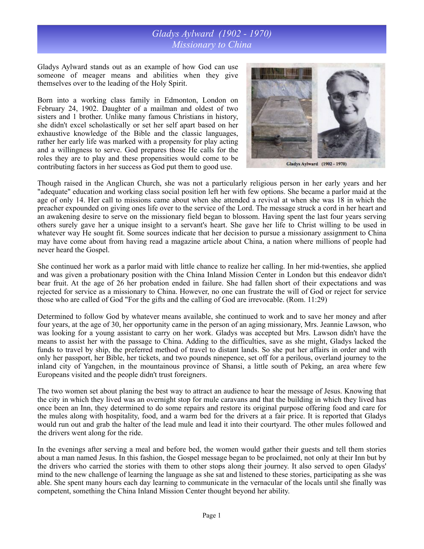## *Gladys Aylward (1902 - 1970) Missionary to China*

Gladys Aylward stands out as an example of how God can use someone of meager means and abilities when they give themselves over to the leading of the Holy Spirit.

Born into a working class family in Edmonton, London on February 24, 1902. Daughter of a mailman and oldest of two sisters and 1 brother. Unlike many famous Christians in history, she didn't excel scholastically or set her self apart based on her exhaustive knowledge of the Bible and the classic languages, rather her early life was marked with a propensity for play acting and a willingness to serve. God prepares those He calls for the roles they are to play and these propensities would come to be contributing factors in her success as God put them to good use.



Gladys Aylward (1902 - 1970)

Though raised in the Anglican Church, she was not a particularly religious person in her early years and her "adequate" education and working class social position left her with few options. She became a parlor maid at the age of only 14. Her call to missions came about when she attended a revival at when she was 18 in which the preacher expounded on giving ones life over to the service of the Lord. The message struck a cord in her heart and an awakening desire to serve on the missionary field began to blossom. Having spent the last four years serving others surely gave her a unique insight to a servant's heart. She gave her life to Christ willing to be used in whatever way He sought fit. Some sources indicate that her decision to pursue a missionary assignment to China may have come about from having read a magazine article about China, a nation where millions of people had never heard the Gospel.

She continued her work as a parlor maid with little chance to realize her calling. In her mid-twenties, she applied and was given a probationary position with the China Inland Mission Center in London but this endeavor didn't bear fruit. At the age of 26 her probation ended in failure. She had fallen short of their expectations and was rejected for service as a missionary to China. However, no one can frustrate the will of God or reject for service those who are called of God "For the gifts and the calling of God are irrevocable. (Rom. 11:29)

Determined to follow God by whatever means available, she continued to work and to save her money and after four years, at the age of 30, her opportunity came in the person of an aging missionary, Mrs. Jeannie Lawson, who was looking for a young assistant to carry on her work. Gladys was accepted but Mrs. Lawson didn't have the means to assist her with the passage to China. Adding to the difficulties, save as she might, Gladys lacked the funds to travel by ship, the preferred method of travel to distant lands. So she put her affairs in order and with only her passport, her Bible, her tickets, and two pounds ninepence, set off for a perilous, overland journey to the inland city of Yangchen, in the mountainous province of Shansi, a little south of Peking, an area where few Europeans visited and the people didn't trust foreigners.

The two women set about planing the best way to attract an audience to hear the message of Jesus. Knowing that the city in which they lived was an overnight stop for mule caravans and that the building in which they lived has once been an Inn, they determined to do some repairs and restore its original purpose offering food and care for the mules along with hospitality, food, and a warm bed for the drivers at a fair price. It is reported that Gladys would run out and grab the halter of the lead mule and lead it into their courtyard. The other mules followed and the drivers went along for the ride.

In the evenings after serving a meal and before bed, the women would gather their guests and tell them stories about a man named Jesus. In this fashion, the Gospel message began to be proclaimed, not only at their Inn but by the drivers who carried the stories with them to other stops along their journey. It also served to open Gladys' mind to the new challenge of learning the language as she sat and listened to these stories, participating as she was able. She spent many hours each day learning to communicate in the vernacular of the locals until she finally was competent, something the China Inland Mission Center thought beyond her ability.